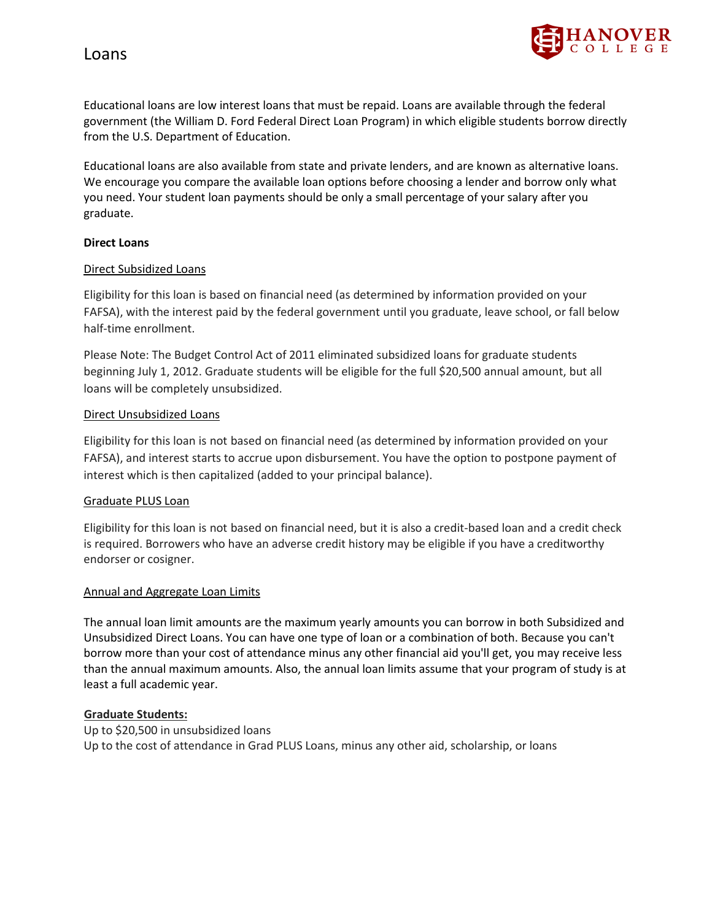

Educational loans are low interest loans that must be repaid. Loans are available through the federal government (the William D. Ford Federal Direct Loan Program) in which eligible students borrow directly from the U.S. Department of Education.

Educational loans are also available from state and private lenders, and are known as alternative loans. We encourage you compare the available loan options before choosing a lender and borrow only what you need. Your student loan payments should be only a small percentage of your salary after you graduate.

### **Direct Loans**

### Direct Subsidized Loans

Eligibility for this loan is based on financial need (as determined by information provided on your FAFSA), with the interest paid by the federal government until you graduate, leave school, or fall below half-time enrollment.

Please Note: The Budget Control Act of 2011 eliminated subsidized loans for graduate students beginning July 1, 2012. Graduate students will be eligible for the full \$20,500 annual amount, but all loans will be completely unsubsidized.

### Direct Unsubsidized Loans

Eligibility for this loan is not based on financial need (as determined by information provided on your FAFSA), and interest starts to accrue upon disbursement. You have the option to postpone payment of interest which is then capitalized (added to your principal balance).

#### Graduate PLUS Loan

Eligibility for this loan is not based on financial need, but it is also a credit-based loan and a credit check is required. Borrowers who have an adverse credit history may be eligible if you have a creditworthy endorser or cosigner.

#### Annual and Aggregate Loan Limits

The annual loan limit amounts are the maximum yearly amounts you can borrow in both Subsidized and Unsubsidized Direct Loans. You can have one type of loan or a combination of both. Because you can't borrow more than your cost of attendance minus any other financial aid you'll get, you may receive less than the annual maximum amounts. Also, the annual loan limits assume that your program of study is at least a full academic year.

#### **Graduate Students:**

Up to \$20,500 in unsubsidized loans Up to the cost of attendance in Grad PLUS Loans, minus any other aid, scholarship, or loans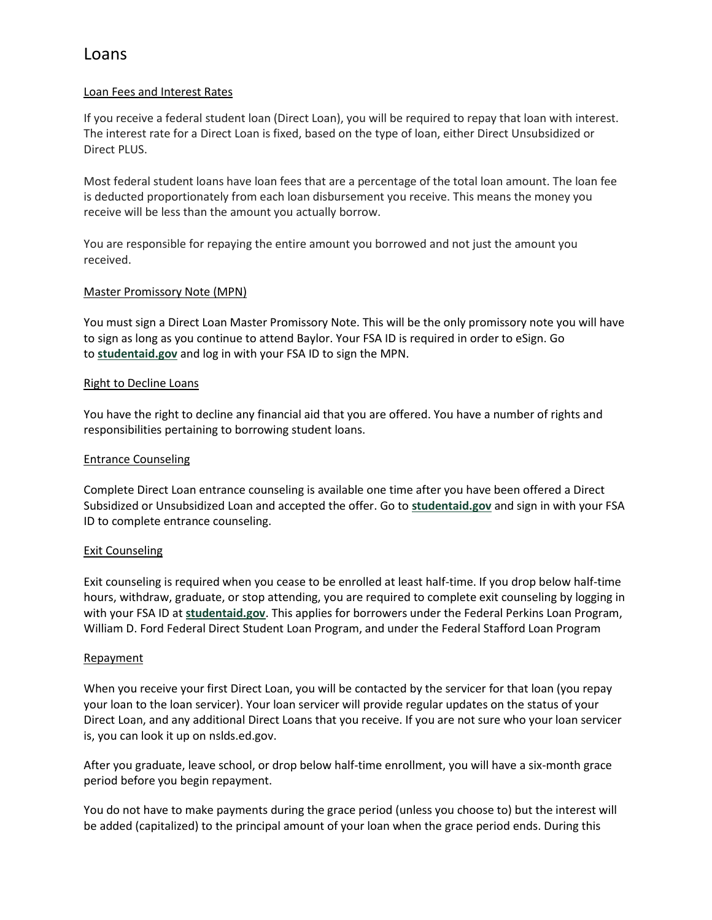# Loan Fees and Interest Rates

If you receive a federal student loan (Direct Loan), you will be required to repay that loan with interest. The interest rate for a Direct Loan is fixed, based on the type of loan, either Direct Unsubsidized or Direct PLUS.

Most federal student loans have loan fees that are a percentage of the total loan amount. The loan fee is deducted proportionately from each loan disbursement you receive. This means the money you receive will be less than the amount you actually borrow.

You are responsible for repaying the entire amount you borrowed and not just the amount you received.

# Master Promissory Note (MPN)

You must sign a Direct Loan Master Promissory Note. This will be the only promissory note you will have to sign as long as you continue to attend Baylor. Your FSA ID is required in order to eSign. Go to **[studentaid.gov](https://studentaid.gov/)** and log in with your FSA ID to sign the MPN.

## Right to Decline Loans

You have the right to decline any financial aid that you are offered. You have a number of rights and responsibilities pertaining to borrowing student loans.

# Entrance Counseling

Complete Direct Loan entrance counseling is available one time after you have been offered a Direct Subsidized or Unsubsidized Loan and accepted the offer. Go to **[studentaid.gov](https://studentaid.gov/)** and sign in with your FSA ID to complete entrance counseling.

## Exit Counseling

Exit counseling is required when you cease to be enrolled at least half-time. If you drop below half-time hours, withdraw, graduate, or stop attending, you are required to complete exit counseling by logging in with your FSA ID at **[studentaid.gov](https://studentaid.gov/)**. This applies for borrowers under the Federal Perkins Loan Program, William D. Ford Federal Direct Student Loan Program, and under the Federal Stafford Loan Program

## Repayment

When you receive your first Direct Loan, you will be contacted by the servicer for that loan (you repay your loan to the loan servicer). Your loan servicer will provide regular updates on the status of your Direct Loan, and any additional Direct Loans that you receive. If you are not sure who your loan servicer is, you can look it up on nslds.ed.gov.

After you graduate, leave school, or drop below half-time enrollment, you will have a six-month grace period before you begin repayment.

You do not have to make payments during the grace period (unless you choose to) but the interest will be added (capitalized) to the principal amount of your loan when the grace period ends. During this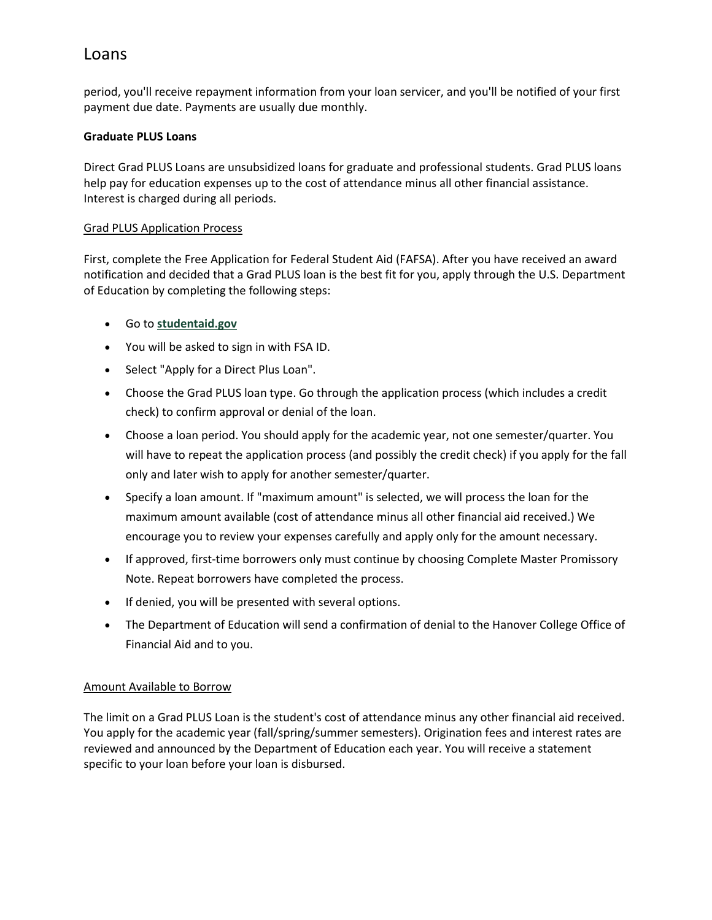period, you'll receive repayment information from your loan servicer, and you'll be notified of your first payment due date. Payments are usually due monthly.

# **Graduate PLUS Loans**

Direct Grad PLUS Loans are unsubsidized loans for graduate and professional students. Grad PLUS loans help pay for education expenses up to the cost of attendance minus all other financial assistance. Interest is charged during all periods.

# Grad PLUS Application Process

First, complete the Free Application for Federal Student Aid (FAFSA). After you have received an award notification and decided that a Grad PLUS loan is the best fit for you, apply through the U.S. Department of Education by completing the following steps:

- Go to **[studentaid.gov](https://studentaid.gov/)**
- You will be asked to sign in with FSA ID.
- Select "Apply for a Direct Plus Loan".
- Choose the Grad PLUS loan type. Go through the application process (which includes a credit check) to confirm approval or denial of the loan.
- Choose a loan period. You should apply for the academic year, not one semester/quarter. You will have to repeat the application process (and possibly the credit check) if you apply for the fall only and later wish to apply for another semester/quarter.
- Specify a loan amount. If "maximum amount" is selected, we will process the loan for the maximum amount available (cost of attendance minus all other financial aid received.) We encourage you to review your expenses carefully and apply only for the amount necessary.
- If approved, first-time borrowers only must continue by choosing Complete Master Promissory Note. Repeat borrowers have completed the process.
- If denied, you will be presented with several options.
- The Department of Education will send a confirmation of denial to the Hanover College Office of Financial Aid and to you.

# Amount Available to Borrow

The limit on a Grad PLUS Loan is the student's cost of attendance minus any other financial aid received. You apply for the academic year (fall/spring/summer semesters). Origination fees and interest rates are reviewed and announced by the Department of Education each year. You will receive a statement specific to your loan before your loan is disbursed.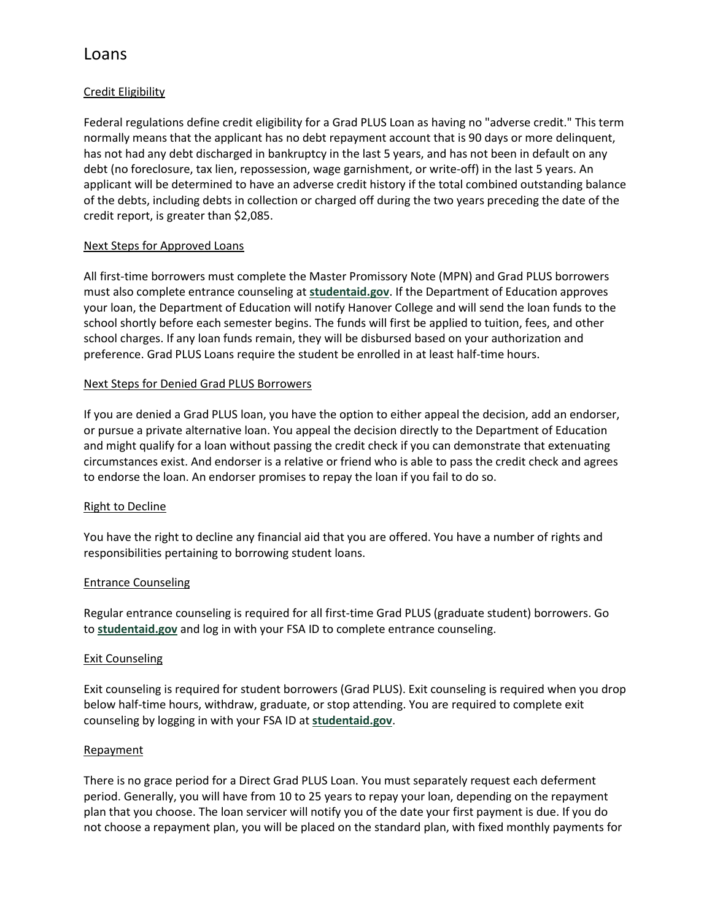# Credit Eligibility

Federal regulations define credit eligibility for a Grad PLUS Loan as having no "adverse credit." This term normally means that the applicant has no debt repayment account that is 90 days or more delinquent, has not had any debt discharged in bankruptcy in the last 5 years, and has not been in default on any debt (no foreclosure, tax lien, repossession, wage garnishment, or write-off) in the last 5 years. An applicant will be determined to have an adverse credit history if the total combined outstanding balance of the debts, including debts in collection or charged off during the two years preceding the date of the credit report, is greater than \$2,085.

# Next Steps for Approved Loans

All first-time borrowers must complete the Master Promissory Note (MPN) and Grad PLUS borrowers must also complete entrance counseling at **[studentaid.gov](https://studentaid.gov/)**. If the Department of Education approves your loan, the Department of Education will notify Hanover College and will send the loan funds to the school shortly before each semester begins. The funds will first be applied to tuition, fees, and other school charges. If any loan funds remain, they will be disbursed based on your authorization and preference. Grad PLUS Loans require the student be enrolled in at least half-time hours.

# Next Steps for Denied Grad PLUS Borrowers

If you are denied a Grad PLUS loan, you have the option to either appeal the decision, add an endorser, or pursue a private alternative loan. You appeal the decision directly to the Department of Education and might qualify for a loan without passing the credit check if you can demonstrate that extenuating circumstances exist. And endorser is a relative or friend who is able to pass the credit check and agrees to endorse the loan. An endorser promises to repay the loan if you fail to do so.

## Right to Decline

You have the right to decline any financial aid that you are offered. You have a number of rights and responsibilities pertaining to borrowing student loans.

## Entrance Counseling

Regular entrance counseling is required for all first-time Grad PLUS (graduate student) borrowers. Go to **[studentaid.gov](https://studentaid.gov/)** and log in with your FSA ID to complete entrance counseling.

## Exit Counseling

Exit counseling is required for student borrowers (Grad PLUS). Exit counseling is required when you drop below half-time hours, withdraw, graduate, or stop attending. You are required to complete exit counseling by logging in with your FSA ID at **[studentaid.gov](https://studentaid.gov/)**.

## Repayment

There is no grace period for a Direct Grad PLUS Loan. You must separately request each deferment period. Generally, you will have from 10 to 25 years to repay your loan, depending on the repayment plan that you choose. The loan servicer will notify you of the date your first payment is due. If you do not choose a repayment plan, you will be placed on the standard plan, with fixed monthly payments for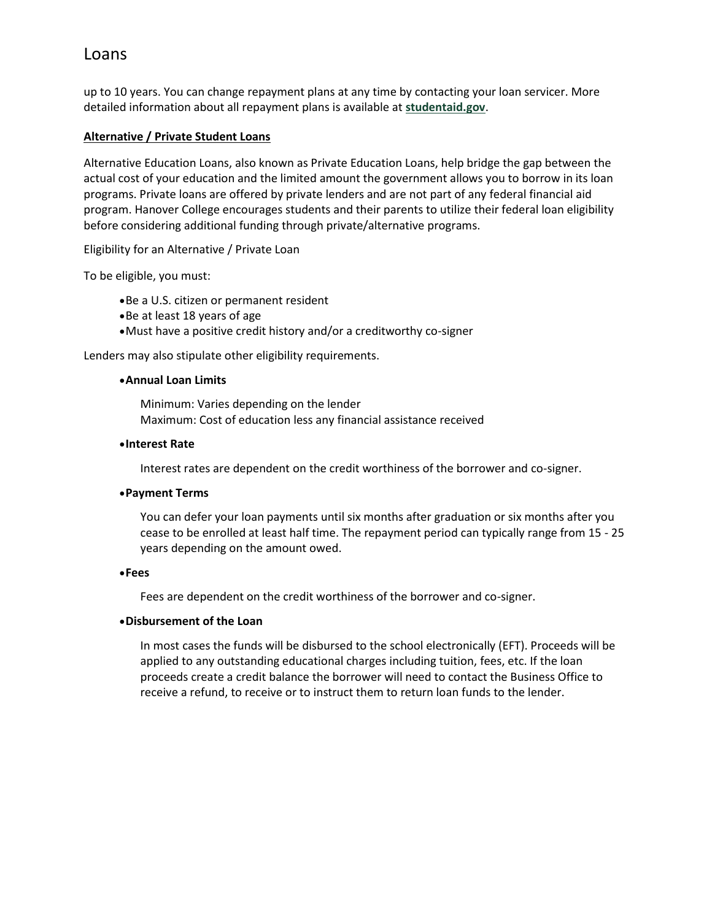up to 10 years. You can change repayment plans at any time by contacting your loan servicer. More detailed information about all repayment plans is available at **[studentaid.gov](https://studentaid.gov/)**.

## **Alternative / Private Student Loans**

Alternative Education Loans, also known as Private Education Loans, help bridge the gap between the actual cost of your education and the limited amount the government allows you to borrow in its loan programs. Private loans are offered by private lenders and are not part of any federal financial aid program. Hanover College encourages students and their parents to utilize their federal loan eligibility before considering additional funding through private/alternative programs.

Eligibility for an Alternative / Private Loan

To be eligible, you must:

- •Be a U.S. citizen or permanent resident
- •Be at least 18 years of age
- •Must have a positive credit history and/or a creditworthy co-signer

Lenders may also stipulate other eligibility requirements.

#### •**Annual Loan Limits**

Minimum: Varies depending on the lender Maximum: Cost of education less any financial assistance received

### •**Interest Rate**

Interest rates are dependent on the credit worthiness of the borrower and co-signer.

#### •**Payment Terms**

You can defer your loan payments until six months after graduation or six months after you cease to be enrolled at least half time. The repayment period can typically range from 15 - 25 years depending on the amount owed.

#### •**Fees**

Fees are dependent on the credit worthiness of the borrower and co-signer.

# •**Disbursement of the Loan**

In most cases the funds will be disbursed to the school electronically (EFT). Proceeds will be applied to any outstanding educational charges including tuition, fees, etc. If the loan proceeds create a credit balance the borrower will need to contact the Business Office to receive a refund, to receive or to instruct them to return loan funds to the lender.